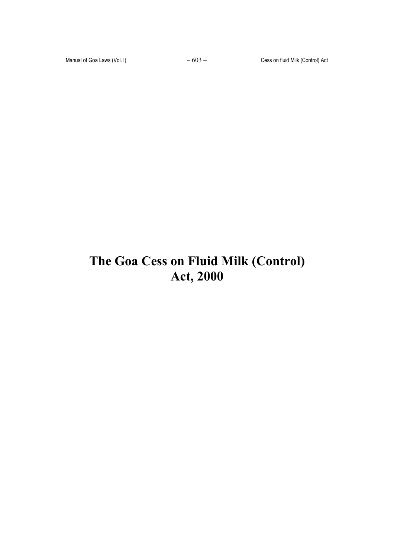# **The Goa Cess on Fluid Milk (Control) Act, 2000**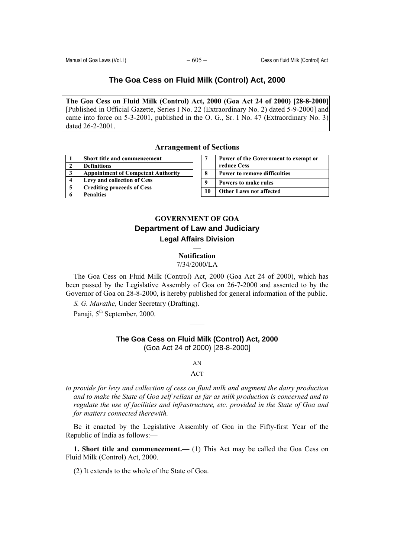## **The Goa Cess on Fluid Milk (Control) Act, 2000**

**The Goa Cess on Fluid Milk (Control) Act, 2000 (Goa Act 24 of 2000) [28-8-2000]** [Published in Official Gazette, Series I No. 22 (Extraordinary No. 2) dated 5-9-2000] and came into force on 5-3-2001, published in the O. G., Sr. I No. 47 (Extraordinary No. 3) dated 26-2-2001.

## **Arrangement of Sections**

|   | Short title and commencement              |
|---|-------------------------------------------|
|   | <b>Definitions</b>                        |
| 3 | <b>Appointment of Competent Authority</b> |
|   | Levy and collection of Cess               |
| 5 | <b>Crediting proceeds of Cess</b>         |
|   | <b>Penalties</b>                          |

|    | Power of the Government to exempt or<br>reduce Cess |
|----|-----------------------------------------------------|
| -8 | <b>Power to remove difficulties</b>                 |
| -9 | Powers to make rules                                |
| 10 | <b>Other Laws not affected</b>                      |

## **GOVERNMENT OF GOA Department of Law and Judiciary Legal Affairs Division**

## — **Notification**  7/34/2000/LA

The Goa Cess on Fluid Milk (Control) Act, 2000 (Goa Act 24 of 2000), which has been passed by the Legislative Assembly of Goa on 26-7-2000 and assented to by the Governor of Goa on 28-8-2000, is hereby published for general information of the public.

*S. G. Marathe,* Under Secretary (Drafting).

Panaji, 5<sup>th</sup> September, 2000.

# **The Goa Cess on Fluid Milk (Control) Act, 2000**

——

(Goa Act 24 of 2000) [28-8-2000]

AN

## ACT

*to provide for levy and collection of cess on fluid milk and augment the dairy production and to make the State of Goa self reliant as far as milk production is concerned and to regulate the use of facilities and infrastructure, etc. provided in the State of Goa and for matters connected therewith.* 

Be it enacted by the Legislative Assembly of Goa in the Fifty-first Year of the Republic of India as follows:—

**1. Short title and commencement.—** (1) This Act may be called the Goa Cess on Fluid Milk (Control) Act, 2000.

(2) It extends to the whole of the State of Goa.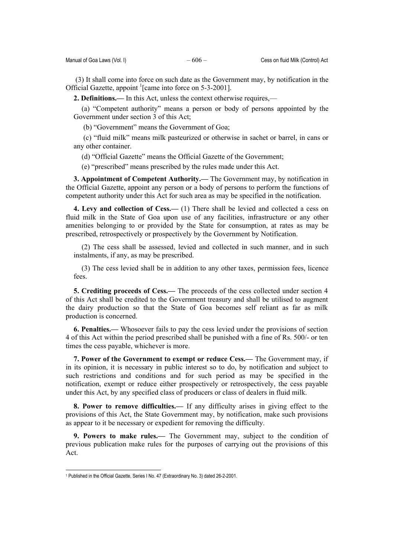(3) It shall come into force on such date as the Government may, by notification in the Official Gazette, appoint <sup>1</sup>[came into force on 5-3-2001].

**2. Definitions.—** In this Act, unless the context otherwise requires,—

(a) "Competent authority" means a person or body of persons appointed by the Government under section 3 of this Act;

(b) "Government" means the Government of Goa;

 (c) "fluid milk" means milk pasteurized or otherwise in sachet or barrel, in cans or any other container.

(d) "Official Gazette" means the Official Gazette of the Government;

(e) "prescribed" means prescribed by the rules made under this Act.

**3. Appointment of Competent Authority.—** The Government may, by notification in the Official Gazette, appoint any person or a body of persons to perform the functions of competent authority under this Act for such area as may be specified in the notification.

**4. Levy and collection of Cess.—** (1) There shall be levied and collected a cess on fluid milk in the State of Goa upon use of any facilities, infrastructure or any other amenities belonging to or provided by the State for consumption, at rates as may be prescribed, retrospectively or prospectively by the Government by Notification.

(2) The cess shall be assessed, levied and collected in such manner, and in such instalments, if any, as may be prescribed.

(3) The cess levied shall be in addition to any other taxes, permission fees, licence fees.

**5. Crediting proceeds of Cess.—** The proceeds of the cess collected under section 4 of this Act shall be credited to the Government treasury and shall be utilised to augment the dairy production so that the State of Goa becomes self reliant as far as milk production is concerned.

**6. Penalties.—** Whosoever fails to pay the cess levied under the provisions of section 4 of this Act within the period prescribed shall be punished with a fine of Rs. 500/- or ten times the cess payable, whichever is more.

**7. Power of the Government to exempt or reduce Cess.—** The Government may, if in its opinion, it is necessary in public interest so to do, by notification and subject to such restrictions and conditions and for such period as may be specified in the notification, exempt or reduce either prospectively or retrospectively, the cess payable under this Act, by any specified class of producers or class of dealers in fluid milk.

**8. Power to remove difficulties.—** If any difficulty arises in giving effect to the provisions of this Act, the State Government may, by notification, make such provisions as appear to it be necessary or expedient for removing the difficulty.

**9. Powers to make rules.—** The Government may, subject to the condition of previous publication make rules for the purposes of carrying out the provisions of this Act.

 $\overline{\phantom{a}}$ 

<sup>1</sup> Published in the Official Gazette, Series I No. 47 (Extraordinary No. 3) dated 26-2-2001.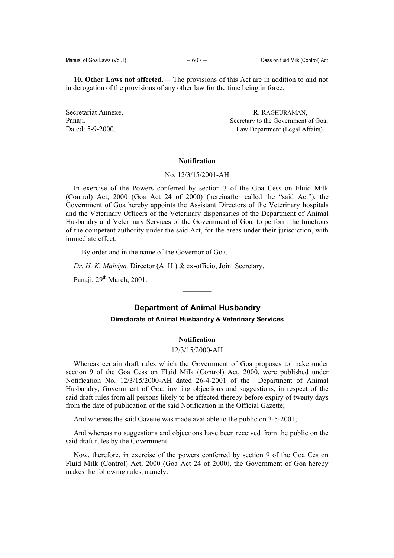**10. Other Laws not affected.—** The provisions of this Act are in addition to and not in derogation of the provisions of any other law for the time being in force.

Secretariat Annexe, R. RAGHURAMAN, Panaji. Secretary to the Government of Goa, Dated: 5-9-2000. Law Department (Legal Affairs).

#### **Notification**

 $\mathcal{L}_\text{max}$ 

## No. 12/3/15/2001-AH

In exercise of the Powers conferred by section 3 of the Goa Cess on Fluid Milk (Control) Act, 2000 (Goa Act 24 of 2000) (hereinafter called the "said Act"), the Government of Goa hereby appoints the Assistant Directors of the Veterinary hospitals and the Veterinary Officers of the Veterinary dispensaries of the Department of Animal Husbandry and Veterinary Services of the Government of Goa, to perform the functions of the competent authority under the said Act, for the areas under their jurisdiction, with immediate effect.

By order and in the name of the Governor of Goa.

*Dr. H. K. Malviya,* Director (A. H.) & ex-officio, Joint Secretary.

Panaji,  $29<sup>th</sup> March, 2001$ .

## **Department of Animal Husbandry**

 $\frac{1}{2}$ 

## **Directorate of Animal Husbandry & Veterinary Services**   $\mathcal{L}_\mathcal{L}$

## **Notification**

## 12/3/15/2000-AH

Whereas certain draft rules which the Government of Goa proposes to make under section 9 of the Goa Cess on Fluid Milk (Control) Act, 2000, were published under Notification No. 12/3/15/2000-AH dated 26-4-2001 of the Department of Animal Husbandry, Government of Goa, inviting objections and suggestions, in respect of the said draft rules from all persons likely to be affected thereby before expiry of twenty days from the date of publication of the said Notification in the Official Gazette;

And whereas the said Gazette was made available to the public on 3-5-2001;

And whereas no suggestions and objections have been received from the public on the said draft rules by the Government.

Now, therefore, in exercise of the powers conferred by section 9 of the Goa Ces on Fluid Milk (Control) Act, 2000 (Goa Act 24 of 2000), the Government of Goa hereby makes the following rules, namely:—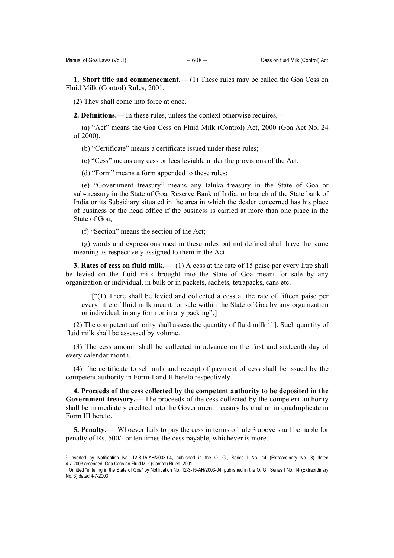l

**1. Short title and commencement.—** (1) These rules may be called the Goa Cess on Fluid Milk (Control) Rules, 2001.

(2) They shall come into force at once.

**2. Definitions.—** In these rules, unless the context otherwise requires,—

(a) "Act" means the Goa Cess on Fluid Milk (Control) Act, 2000 (Goa Act No. 24 of 2000);

(b) "Certificate" means a certificate issued under these rules;

(c) "Cess" means any cess or fees leviable under the provisions of the Act;

(d) "Form" means a form appended to these rules;

(e) "Government treasury" means any taluka treasury in the State of Goa or sub-treasury in the State of Goa, Reserve Bank of India, or branch of the State bank of India or its Subsidiary situated in the area in which the dealer concerned has his place of business or the head office if the business is carried at more than one place in the State of Goa;

(f) "Section" means the section of the Act;

(g) words and expressions used in these rules but not defined shall have the same meaning as respectively assigned to them in the Act.

**3. Rates of cess on fluid milk.—** (1) A cess at the rate of 15 paise per every litre shall be levied on the fluid milk brought into the State of Goa meant for sale by any organization or individual, in bulk or in packets, sachets, tetrapacks, cans etc.

 $^{2}[$ <sup>c</sup>(1) There shall be levied and collected a cess at the rate of fifteen paise per every litre of fluid milk meant for sale within the State of Goa by any organization or individual, in any form or in any packing";]

(2) The competent authority shall assess the quantity of fluid milk  $\frac{3}{7}$  ]. Such quantity of fluid milk shall be assessed by volume.

(3) The cess amount shall be collected in advance on the first and sixteenth day of every calendar month.

(4) The certificate to sell milk and receipt of payment of cess shall be issued by the competent authority in Form-I and II hereto respectively.

**4. Proceeds of the cess collected by the competent authority to be deposited in the Government treasury.—** The proceeds of the cess collected by the competent authority shall be immediately credited into the Government treasury by challan in quadruplicate in Form III hereto.

**5. Penalty.—** Whoever fails to pay the cess in terms of rule 3 above shall be liable for penalty of Rs. 500/- or ten times the cess payable, whichever is more.

<sup>&</sup>lt;sup>2</sup> Inserted by Notification No. 12-3-15-AH/2003-04, published in the O. G., Series I No. 14 (Extraordinary No. 3) dated<br>4-7-2003.amended Goa Cess on Fluid Milk (Control) Rules 2001.

<sup>&</sup>lt;sup>3</sup> Omitted "entering in the State of Goa" by Notification No. 12-3-15-AH/2003-04, published in the O. G., Series I No. 14 (Extraordinary No. 3) dated 4-7-2003.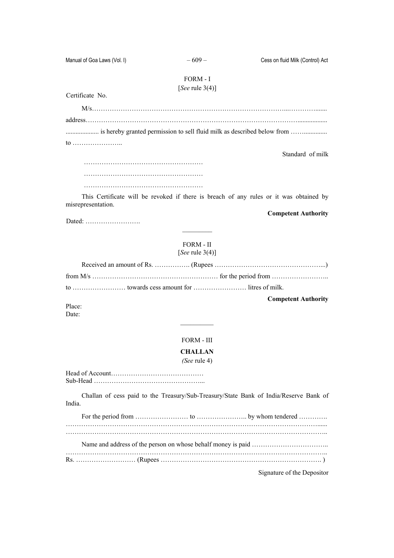Manual of Goa Laws (Vol. I) – 609 – Cess on fluid Milk (Control) Act

## FORM - I [*See* rule 3(4)]

Certificate No.

M/s……………………………………………………………………………...…………....... address…………………………………………………………………………………….................. .................... is hereby granted permission to sell fluid milk as described below from …….............. to ………………….. Standard of milk

This Certificate will be revoked if there is breach of any rules or it was obtained by misrepresentation.

**Competent Authority** 

Dated: …………………….

FORM - II [*See* rule 3(4)]

|  | <b>Competent Authority</b> |
|--|----------------------------|

Place: Date:

#### FORM - III

 $\frac{1}{2}$ 

#### **CHALLAN**

## *(See* rule 4)

Head of Account…………………………………… Sub-Head …………………………………………...

Challan of cess paid to the Treasury/Sub-Treasury/State Bank of India/Reserve Bank of India.

Signature of the Depositor